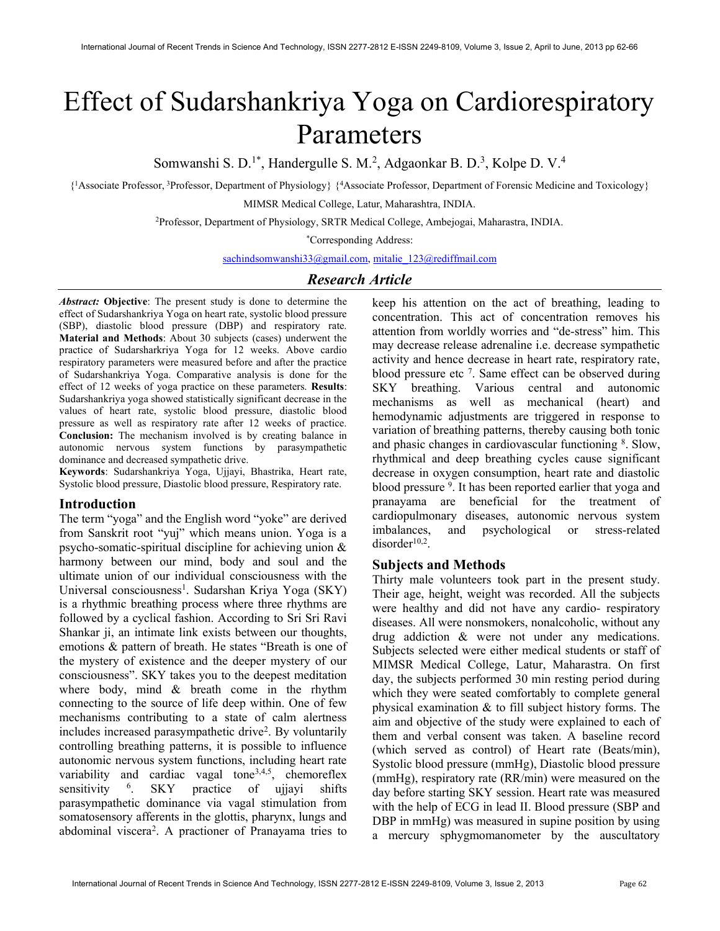# Effect of Sudarshankriya Yoga on Cardiorespiratory Parameters

Somwanshi S. D.<sup>1\*</sup>, Handergulle S. M.<sup>2</sup>, Adgaonkar B. D.<sup>3</sup>, Kolpe D. V.<sup>4</sup>

{ <sup>1</sup>Associate Professor,<sup>3</sup>Professor, Department of Physiology} {<sup>4</sup>Associate Professor, Department of Forensic Medicine and Toxicology} MIMSR Medical College, Latur, Maharashtra, INDIA.

<sup>2</sup>Professor, Department of Physiology, SRTR Medical College, Ambejogai, Maharastra, INDIA.

\*Corresponding Address:

sachindsomwanshi33@gmail.com, mitalie\_123@rediffmail.com

# Research Article

Abstract: Objective: The present study is done to determine the effect of Sudarshankriya Yoga on heart rate, systolic blood pressure (SBP), diastolic blood pressure (DBP) and respiratory rate. Material and Methods: About 30 subjects (cases) underwent the practice of Sudarsharkriya Yoga for 12 weeks. Above cardio respiratory parameters were measured before and after the practice of Sudarshankriya Yoga. Comparative analysis is done for the effect of 12 weeks of yoga practice on these parameters. Results: Sudarshankriya yoga showed statistically significant decrease in the values of heart rate, systolic blood pressure, diastolic blood pressure as well as respiratory rate after 12 weeks of practice. Conclusion: The mechanism involved is by creating balance in autonomic nervous system functions by parasympathetic dominance and decreased sympathetic drive.

Keywords: Sudarshankriya Yoga, Ujjayi, Bhastrika, Heart rate, Systolic blood pressure, Diastolic blood pressure, Respiratory rate.

### Introduction

The term "yoga" and the English word "yoke" are derived from Sanskrit root "yuj" which means union. Yoga is a psycho-somatic-spiritual discipline for achieving union & harmony between our mind, body and soul and the ultimate union of our individual consciousness with the Universal consciousness<sup>1</sup>. Sudarshan Kriya Yoga (SKY) is a rhythmic breathing process where three rhythms are followed by a cyclical fashion. According to Sri Sri Ravi Shankar ji, an intimate link exists between our thoughts, emotions & pattern of breath. He states "Breath is one of the mystery of existence and the deeper mystery of our consciousness". SKY takes you to the deepest meditation where body, mind & breath come in the rhythm connecting to the source of life deep within. One of few mechanisms contributing to a state of calm alertness includes increased parasympathetic drive<sup>2</sup> . By voluntarily controlling breathing patterns, it is possible to influence autonomic nervous system functions, including heart rate variability and cardiac vagal tone<sup>3,4,5</sup>, chemoreflex sensitivity <sup>6</sup>. SKY practice of ujjayi shifts parasympathetic dominance via vagal stimulation from somatosensory afferents in the glottis, pharynx, lungs and abdominal viscera<sup>2</sup>. A practioner of Pranayama tries to keep his attention on the act of breathing, leading to concentration. This act of concentration removes his attention from worldly worries and "de-stress" him. This may decrease release adrenaline i.e. decrease sympathetic activity and hence decrease in heart rate, respiratory rate, blood pressure etc<sup>7</sup>. Same effect can be observed during SKY breathing. Various central and autonomic mechanisms as well as mechanical (heart) and hemodynamic adjustments are triggered in response to variation of breathing patterns, thereby causing both tonic and phasic changes in cardiovascular functioning <sup>8</sup>. Slow, rhythmical and deep breathing cycles cause significant decrease in oxygen consumption, heart rate and diastolic blood pressure <sup>9</sup>. It has been reported earlier that yoga and pranayama are beneficial for the treatment of cardiopulmonary diseases, autonomic nervous system imbalances, and psychological or stress-related  $disorder<sup>10,2</sup>$ .

### Subjects and Methods

Thirty male volunteers took part in the present study. Their age, height, weight was recorded. All the subjects were healthy and did not have any cardio- respiratory diseases. All were nonsmokers, nonalcoholic, without any drug addiction & were not under any medications. Subjects selected were either medical students or staff of MIMSR Medical College, Latur, Maharastra. On first day, the subjects performed 30 min resting period during which they were seated comfortably to complete general physical examination & to fill subject history forms. The aim and objective of the study were explained to each of them and verbal consent was taken. A baseline record (which served as control) of Heart rate (Beats/min), Systolic blood pressure (mmHg), Diastolic blood pressure (mmHg), respiratory rate (RR/min) were measured on the day before starting SKY session. Heart rate was measured with the help of ECG in lead II. Blood pressure (SBP and DBP in mmHg) was measured in supine position by using a mercury sphygmomanometer by the auscultatory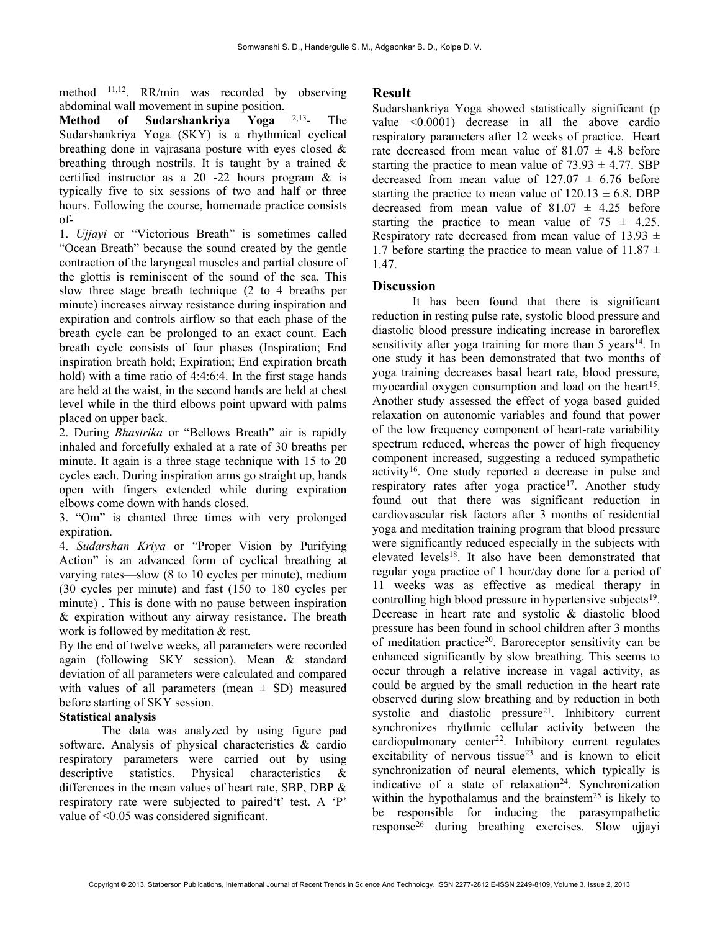method 11,12. RR/min was recorded by observing abdominal wall movement in supine position.

Method of Sudarshankriya Yoga 2,13- The Sudarshankriya Yoga (SKY) is a rhythmical cyclical breathing done in vajrasana posture with eyes closed & breathing through nostrils. It is taught by a trained  $\&$ certified instructor as a 20 -22 hours program & is typically five to six sessions of two and half or three hours. Following the course, homemade practice consists of-

1. Ujjayi or "Victorious Breath" is sometimes called "Ocean Breath" because the sound created by the gentle contraction of the laryngeal muscles and partial closure of the glottis is reminiscent of the sound of the sea. This slow three stage breath technique (2 to 4 breaths per minute) increases airway resistance during inspiration and expiration and controls airflow so that each phase of the breath cycle can be prolonged to an exact count. Each breath cycle consists of four phases (Inspiration; End inspiration breath hold; Expiration; End expiration breath hold) with a time ratio of 4:4:6:4. In the first stage hands are held at the waist, in the second hands are held at chest level while in the third elbows point upward with palms placed on upper back.

2. During Bhastrika or "Bellows Breath" air is rapidly inhaled and forcefully exhaled at a rate of 30 breaths per minute. It again is a three stage technique with 15 to 20 cycles each. During inspiration arms go straight up, hands open with fingers extended while during expiration elbows come down with hands closed.

3. "Om" is chanted three times with very prolonged expiration.

4. Sudarshan Kriya or "Proper Vision by Purifying Action" is an advanced form of cyclical breathing at varying rates—slow (8 to 10 cycles per minute), medium (30 cycles per minute) and fast (150 to 180 cycles per minute) . This is done with no pause between inspiration & expiration without any airway resistance. The breath work is followed by meditation & rest.

By the end of twelve weeks, all parameters were recorded again (following SKY session). Mean & standard deviation of all parameters were calculated and compared with values of all parameters (mean  $\pm$  SD) measured before starting of SKY session.

# Statistical analysis

The data was analyzed by using figure pad software. Analysis of physical characteristics & cardio respiratory parameters were carried out by using descriptive statistics. Physical characteristics & differences in the mean values of heart rate, SBP, DBP & respiratory rate were subjected to paired't' test. A 'P' value of ˂0.05 was considered significant.

# Result

Sudarshankriya Yoga showed statistically significant (p value <0.0001) decrease in all the above cardio respiratory parameters after 12 weeks of practice. Heart rate decreased from mean value of  $81.07 \pm 4.8$  before starting the practice to mean value of  $73.93 \pm 4.77$ . SBP decreased from mean value of  $127.07 \pm 6.76$  before starting the practice to mean value of  $120.13 \pm 6.8$ . DBP decreased from mean value of  $81.07 \pm 4.25$  before starting the practice to mean value of  $75 \pm 4.25$ . Respiratory rate decreased from mean value of 13.93  $\pm$ 1.7 before starting the practice to mean value of  $11.87 \pm 1.00$ 1.47.

# **Discussion**

 It has been found that there is significant reduction in resting pulse rate, systolic blood pressure and diastolic blood pressure indicating increase in baroreflex sensitivity after yoga training for more than  $5$  years<sup>14</sup>. In one study it has been demonstrated that two months of yoga training decreases basal heart rate, blood pressure, myocardial oxygen consumption and load on the heart<sup>15</sup>. Another study assessed the effect of yoga based guided relaxation on autonomic variables and found that power of the low frequency component of heart-rate variability spectrum reduced, whereas the power of high frequency component increased, suggesting a reduced sympathetic activity<sup>16</sup>. One study reported a decrease in pulse and respiratory rates after yoga practice<sup>17</sup>. Another study found out that there was significant reduction in cardiovascular risk factors after 3 months of residential yoga and meditation training program that blood pressure were significantly reduced especially in the subjects with elevated levels<sup>18</sup>. It also have been demonstrated that regular yoga practice of 1 hour/day done for a period of 11 weeks was as effective as medical therapy in controlling high blood pressure in hypertensive subjects<sup>19</sup>. Decrease in heart rate and systolic & diastolic blood pressure has been found in school children after 3 months of meditation practice<sup>20</sup>. Baroreceptor sensitivity can be enhanced significantly by slow breathing. This seems to occur through a relative increase in vagal activity, as could be argued by the small reduction in the heart rate observed during slow breathing and by reduction in both systolic and diastolic pressure<sup>21</sup>. Inhibitory current synchronizes rhythmic cellular activity between the cardiopulmonary center<sup>22</sup>. Inhibitory current regulates excitability of nervous tissue<sup>23</sup> and is known to elicit synchronization of neural elements, which typically is indicative of a state of relaxation<sup>24</sup>. Synchronization within the hypothalamus and the brainstem<sup>25</sup> is likely to be responsible for inducing the parasympathetic response26 during breathing exercises. Slow ujjayi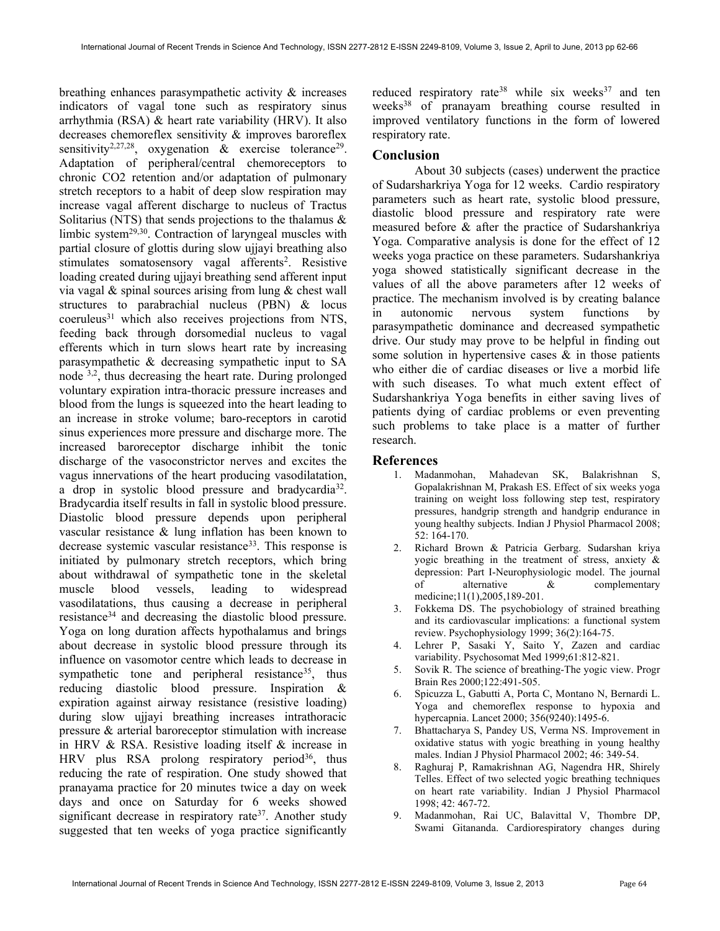breathing enhances parasympathetic activity & increases indicators of vagal tone such as respiratory sinus arrhythmia (RSA) & heart rate variability (HRV). It also decreases chemoreflex sensitivity & improves baroreflex sensitivity<sup>2,27,28</sup>, oxygenation & exercise tolerance<sup>29</sup>. Adaptation of peripheral/central chemoreceptors to chronic CO2 retention and/or adaptation of pulmonary stretch receptors to a habit of deep slow respiration may increase vagal afferent discharge to nucleus of Tractus Solitarius (NTS) that sends projections to the thalamus  $\&$ limbic system29,30. Contraction of laryngeal muscles with partial closure of glottis during slow ujjayi breathing also stimulates somatosensory vagal afferents<sup>2</sup>. Resistive loading created during ujjayi breathing send afferent input via vagal & spinal sources arising from lung & chest wall structures to parabrachial nucleus (PBN) & locus coeruleus<sup>31</sup> which also receives projections from NTS, feeding back through dorsomedial nucleus to vagal efferents which in turn slows heart rate by increasing parasympathetic & decreasing sympathetic input to SA node 3,2, thus decreasing the heart rate. During prolonged voluntary expiration intra-thoracic pressure increases and blood from the lungs is squeezed into the heart leading to an increase in stroke volume; baro-receptors in carotid sinus experiences more pressure and discharge more. The increased baroreceptor discharge inhibit the tonic discharge of the vasoconstrictor nerves and excites the vagus innervations of the heart producing vasodilatation, a drop in systolic blood pressure and bradycardia<sup>32</sup>. Bradycardia itself results in fall in systolic blood pressure. Diastolic blood pressure depends upon peripheral vascular resistance & lung inflation has been known to decrease systemic vascular resistance<sup>33</sup>. This response is initiated by pulmonary stretch receptors, which bring about withdrawal of sympathetic tone in the skeletal muscle blood vessels, leading to widespread vasodilatations, thus causing a decrease in peripheral resistance<sup>34</sup> and decreasing the diastolic blood pressure. Yoga on long duration affects hypothalamus and brings about decrease in systolic blood pressure through its influence on vasomotor centre which leads to decrease in sympathetic tone and peripheral resistance<sup>35</sup>, thus reducing diastolic blood pressure. Inspiration & expiration against airway resistance (resistive loading) during slow ujjayi breathing increases intrathoracic pressure & arterial baroreceptor stimulation with increase in HRV & RSA. Resistive loading itself & increase in HRV plus RSA prolong respiratory period<sup>36</sup>, thus reducing the rate of respiration. One study showed that pranayama practice for 20 minutes twice a day on week days and once on Saturday for 6 weeks showed significant decrease in respiratory rate<sup>37</sup>. Another study suggested that ten weeks of yoga practice significantly

reduced respiratory rate<sup>38</sup> while six weeks<sup>37</sup> and ten weeks<sup>38</sup> of pranayam breathing course resulted in improved ventilatory functions in the form of lowered respiratory rate.

#### Conclusion

About 30 subjects (cases) underwent the practice of Sudarsharkriya Yoga for 12 weeks. Cardio respiratory parameters such as heart rate, systolic blood pressure, diastolic blood pressure and respiratory rate were measured before & after the practice of Sudarshankriya Yoga. Comparative analysis is done for the effect of 12 weeks yoga practice on these parameters. Sudarshankriya yoga showed statistically significant decrease in the values of all the above parameters after 12 weeks of practice. The mechanism involved is by creating balance in autonomic nervous system functions by parasympathetic dominance and decreased sympathetic drive. Our study may prove to be helpful in finding out some solution in hypertensive cases  $\&$  in those patients who either die of cardiac diseases or live a morbid life with such diseases. To what much extent effect of Sudarshankriya Yoga benefits in either saving lives of patients dying of cardiac problems or even preventing such problems to take place is a matter of further research.

#### References

- 1. Madanmohan, Mahadevan SK, Balakrishnan S, Gopalakrishnan M, Prakash ES. Effect of six weeks yoga training on weight loss following step test, respiratory pressures, handgrip strength and handgrip endurance in young healthy subjects. Indian J Physiol Pharmacol 2008; 52: 164-170.
- 2. Richard Brown & Patricia Gerbarg. Sudarshan kriya yogic breathing in the treatment of stress, anxiety & depression: Part I-Neurophysiologic model. The journal of alternative & complementary medicine;11(1),2005,189-201.
- 3. Fokkema DS. The psychobiology of strained breathing and its cardiovascular implications: a functional system review. Psychophysiology 1999; 36(2):164-75.
- 4. Lehrer P, Sasaki Y, Saito Y, Zazen and cardiac variability. Psychosomat Med 1999;61:812-821.
- 5. Sovik R. The science of breathing-The yogic view. Progr Brain Res 2000;122:491-505.
- 6. Spicuzza L, Gabutti A, Porta C, Montano N, Bernardi L. Yoga and chemoreflex response to hypoxia and hypercapnia. Lancet 2000; 356(9240):1495-6.
- 7. Bhattacharya S, Pandey US, Verma NS. Improvement in oxidative status with yogic breathing in young healthy males. Indian J Physiol Pharmacol 2002; 46: 349-54.
- 8. Raghuraj P, Ramakrishnan AG, Nagendra HR, Shirely Telles. Effect of two selected yogic breathing techniques on heart rate variability. Indian J Physiol Pharmacol 1998; 42: 467-72.
- 9. Madanmohan, Rai UC, Balavittal V, Thombre DP, Swami Gitananda. Cardiorespiratory changes during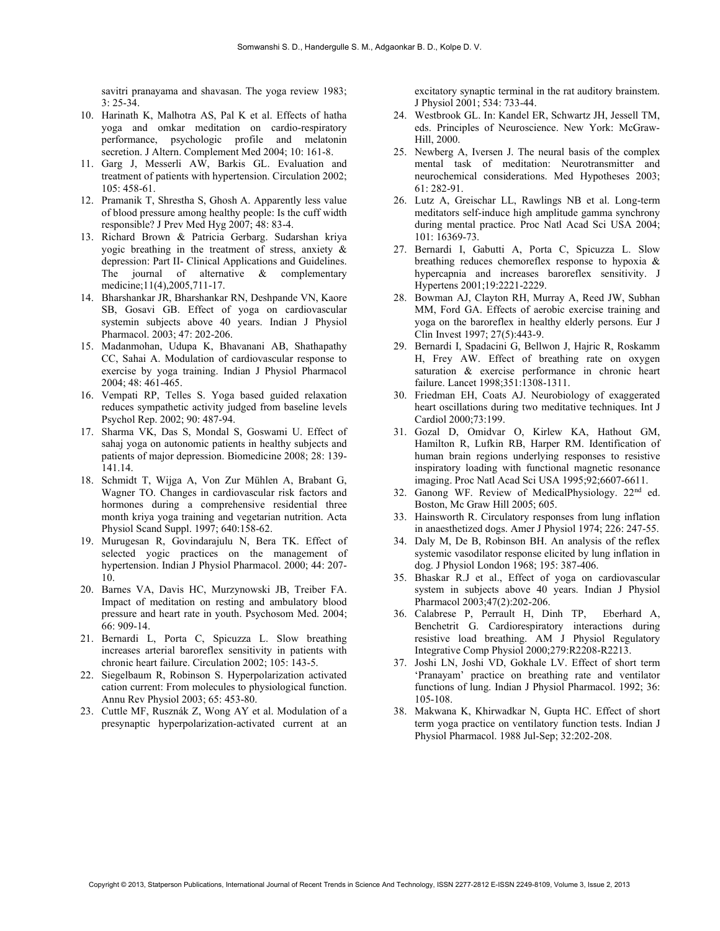savitri pranayama and shavasan. The yoga review 1983; 3: 25-34.

- 10. Harinath K, Malhotra AS, Pal K et al. Effects of hatha yoga and omkar meditation on cardio-respiratory performance, psychologic profile and melatonin secretion. J Altern. Complement Med 2004; 10: 161-8.
- 11. Garg J, Messerli AW, Barkis GL. Evaluation and treatment of patients with hypertension. Circulation 2002; 105: 458-61.
- 12. Pramanik T, Shrestha S, Ghosh A. Apparently less value of blood pressure among healthy people: Is the cuff width responsible? J Prev Med Hyg 2007; 48: 83-4.
- 13. Richard Brown & Patricia Gerbarg. Sudarshan kriya yogic breathing in the treatment of stress, anxiety & depression: Part II- Clinical Applications and Guidelines. The journal of alternative & complementary medicine;11(4),2005,711-17.
- 14. Bharshankar JR, Bharshankar RN, Deshpande VN, Kaore SB, Gosavi GB. Effect of yoga on cardiovascular systemin subjects above 40 years. Indian J Physiol Pharmacol. 2003; 47: 202-206.
- 15. Madanmohan, Udupa K, Bhavanani AB, Shathapathy CC, Sahai A. Modulation of cardiovascular response to exercise by yoga training. Indian J Physiol Pharmacol 2004; 48: 461-465.
- 16. Vempati RP, Telles S. Yoga based guided relaxation reduces sympathetic activity judged from baseline levels Psychol Rep. 2002; 90: 487-94.
- 17. Sharma VK, Das S, Mondal S, Goswami U. Effect of sahaj yoga on autonomic patients in healthy subjects and patients of major depression. Biomedicine 2008; 28: 139- 141.14.
- 18. Schmidt T, Wijga A, Von Zur Mühlen A, Brabant G, Wagner TO. Changes in cardiovascular risk factors and hormones during a comprehensive residential three month kriya yoga training and vegetarian nutrition. Acta Physiol Scand Suppl. 1997; 640:158-62.
- 19. Murugesan R, Govindarajulu N, Bera TK. Effect of selected yogic practices on the management of hypertension. Indian J Physiol Pharmacol. 2000; 44: 207- 10.
- 20. Barnes VA, Davis HC, Murzynowski JB, Treiber FA. Impact of meditation on resting and ambulatory blood pressure and heart rate in youth. Psychosom Med. 2004; 66: 909-14.
- 21. Bernardi L, Porta C, Spicuzza L. Slow breathing increases arterial baroreflex sensitivity in patients with chronic heart failure. Circulation 2002; 105: 143-5.
- 22. Siegelbaum R, Robinson S. Hyperpolarization activated cation current: From molecules to physiological function. Annu Rev Physiol 2003; 65: 453-80.
- 23. Cuttle MF, Rusznák Z, Wong AY et al. Modulation of a presynaptic hyperpolarization-activated current at an

excitatory synaptic terminal in the rat auditory brainstem. J Physiol 2001; 534: 733-44.

- 24. Westbrook GL. In: Kandel ER, Schwartz JH, Jessell TM, eds. Principles of Neuroscience. New York: McGraw-Hill, 2000.
- 25. Newberg A, Iversen J. The neural basis of the complex mental task of meditation: Neurotransmitter and neurochemical considerations. Med Hypotheses 2003; 61: 282-91.
- 26. Lutz A, Greischar LL, Rawlings NB et al. Long-term meditators self-induce high amplitude gamma synchrony during mental practice. Proc Natl Acad Sci USA 2004; 101: 16369-73.
- 27. Bernardi I, Gabutti A, Porta C, Spicuzza L. Slow breathing reduces chemoreflex response to hypoxia & hypercapnia and increases baroreflex sensitivity. J Hypertens 2001;19:2221-2229.
- 28. Bowman AJ, Clayton RH, Murray A, Reed JW, Subhan MM, Ford GA. Effects of aerobic exercise training and yoga on the baroreflex in healthy elderly persons. Eur J Clin Invest 1997; 27(5):443-9.
- 29. Bernardi I, Spadacini G, Bellwon J, Hajric R, Roskamm H, Frey AW. Effect of breathing rate on oxygen saturation & exercise performance in chronic heart failure. Lancet 1998;351:1308-1311.
- 30. Friedman EH, Coats AJ. Neurobiology of exaggerated heart oscillations during two meditative techniques. Int J Cardiol 2000;73:199.
- 31. Gozal D, Omidvar O, Kirlew KA, Hathout GM, Hamilton R, Lufkin RB, Harper RM. Identification of human brain regions underlying responses to resistive inspiratory loading with functional magnetic resonance imaging. Proc Natl Acad Sci USA 1995;92;6607-6611.
- 32. Ganong WF. Review of MedicalPhysiology. 22nd ed. Boston, Mc Graw Hill 2005; 605.
- 33. Hainsworth R. Circulatory responses from lung inflation in anaesthetized dogs. Amer J Physiol 1974; 226: 247-55.
- 34. Daly M, De B, Robinson BH. An analysis of the reflex systemic vasodilator response elicited by lung inflation in dog. J Physiol London 1968; 195: 387-406.
- 35. Bhaskar R.J et al., Effect of yoga on cardiovascular system in subjects above 40 years. Indian J Physiol Pharmacol 2003;47(2):202-206.
- 36. Calabrese P, Perrault H, Dinh TP, Eberhard A, Benchetrit G. Cardiorespiratory interactions during resistive load breathing. AM J Physiol Regulatory Integrative Comp Physiol 2000;279:R2208-R2213.
- 37. Joshi LN, Joshi VD, Gokhale LV. Effect of short term 'Pranayam' practice on breathing rate and ventilator functions of lung. Indian J Physiol Pharmacol. 1992; 36: 105-108.
- 38. Makwana K, Khirwadkar N, Gupta HC. Effect of short term yoga practice on ventilatory function tests. Indian J Physiol Pharmacol. 1988 Jul-Sep; 32:202-208.